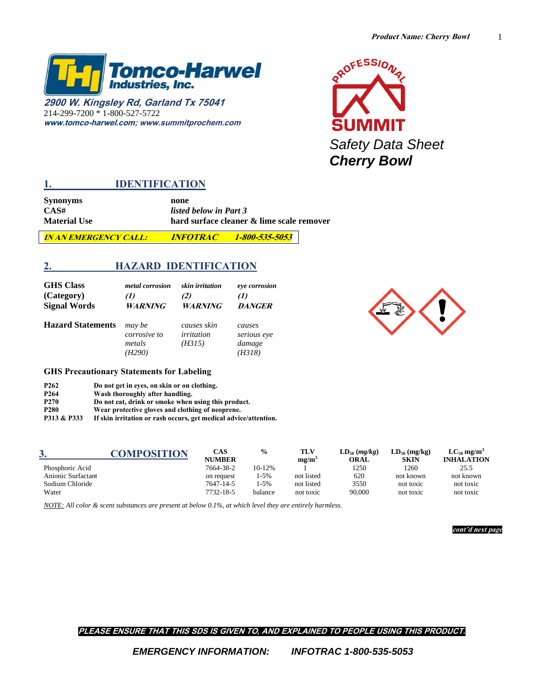1



**2900 W. Kingsley Rd, Garland Tx 75041** 214-299-7200 \* 1-800-527-5722 **[www.tomco-harwel.com;](http://www.tomco-harwel.com/) www.summitprochem.com**



## **1. IDENTIFICATION**

**Synonyms none**<br>CAS# *listed* 

**CAS#** *listed below in Part 3* hard surface cleaner & lime scale remover

**IN AN EMERGENCY CALL: INFOTRAC 1-800-535-5053**

## **2. HAZARD IDENTIFICATION**

| <b>GHS</b> Class         | <i>metal corrosion</i>                     | skin irritation                     | eye corrosion                             |
|--------------------------|--------------------------------------------|-------------------------------------|-------------------------------------------|
| (Category)               | (1)                                        | (2)                                 | $\Omega$                                  |
| <b>Signal Words</b>      | <b>WARNING</b>                             | <b>WARNING</b>                      | <b>DANGER</b>                             |
| <b>Hazard Statements</b> | may be<br>corrosive to<br>metals<br>(H290) | causes skin<br>irritation<br>(H315) | causes<br>serious eye<br>damage<br>(H318) |



#### **GHS Precautionary Statements for Labeling**

| P <sub>262</sub> |  | Do not get in eyes, on skin or on clothing. |
|------------------|--|---------------------------------------------|
|------------------|--|---------------------------------------------|

**P264 Wash thoroughly after handling.**

**P270 Do not eat, drink or smoke when using this product.** 

**P280 Wear protective gloves and clothing of neoprene.** 

**P313 & P333 If skin irritation or rash occurs, get medical advice/attention.**

|                    | COMPOSITION | CAS           | $\frac{6}{9}$ | TLV               | $LD_{50}$ (mg/kg) | $LD_{50}$ (mg/kg) | $LC_{50}$ mg/m <sup>3</sup> |
|--------------------|-------------|---------------|---------------|-------------------|-------------------|-------------------|-----------------------------|
|                    |             | <b>NUMBER</b> |               | mg/m <sup>3</sup> | ORAL              | <b>SKIN</b>       | <b>INHALATION</b>           |
| Phosphoric Acid    |             | 7664-38-2     | 10-12%        |                   | 1250              | 1260              | 25.5                        |
| Anionic Surfactant |             | on request    | 1-5%          | not listed        | 620               | not known         | not known                   |
| Sodium Chloride    |             | 7647-14-5     | 1-5%          | not listed        | 3550              | not toxic         | not toxic                   |
| Water              |             | 7732-18-5     | balance       | not toxic         | 90,000            | not toxic         | not toxic                   |

*NOTE: All color & scent substances are present at below 0.1%, at which level they are entirely harmless.*

**cont'd next page**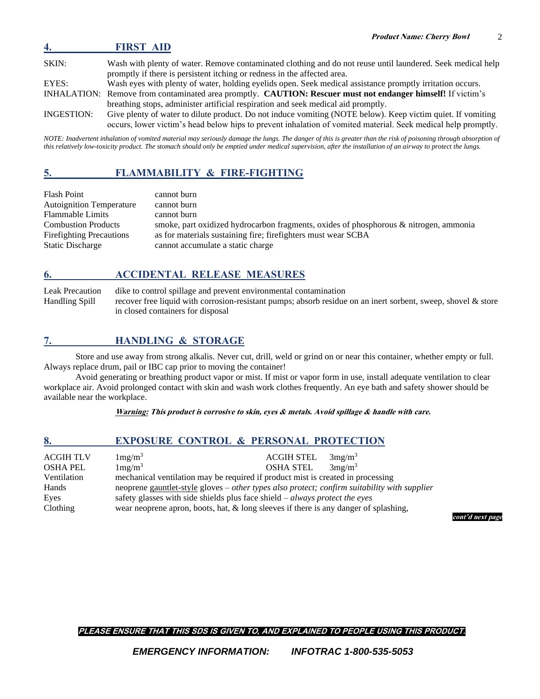**4. FIRST AID** SKIN: Wash with plenty of water. Remove contaminated clothing and do not reuse until laundered. Seek medical help promptly if there is persistent itching or redness in the affected area. EYES: Wash eyes with plenty of water, holding eyelids open. Seek medical assistance promptly irritation occurs. INHALATION: Remove from contaminated area promptly. **CAUTION: Rescuer must not endanger himself!** If victim's breathing stops, administer artificial respiration and seek medical aid promptly. INGESTION: Give plenty of water to dilute product. Do not induce vomiting (NOTE below). Keep victim quiet. If vomiting occurs, lower victim's head below hips to prevent inhalation of vomited material. Seek medical help promptly.

*NOTE: Inadvertent inhalation of vomited material may seriously damage the lungs. The danger of this is greater than the risk of poisoning through absorption of this relatively low-toxicity product. The stomach should only be emptied under medical supervision, after the installation of an airway to protect the lungs.*

# **5. FLAMMABILITY & FIRE-FIGHTING**

| <b>Flash Point</b>              | cannot burn                                                                           |
|---------------------------------|---------------------------------------------------------------------------------------|
| <b>Autoignition Temperature</b> | cannot burn                                                                           |
| <b>Flammable Limits</b>         | cannot burn                                                                           |
| <b>Combustion Products</b>      | smoke, part oxidized hydrocarbon fragments, oxides of phosphorous & nitrogen, ammonia |
| <b>Firefighting Precautions</b> | as for materials sustaining fire; firefighters must wear SCBA                         |
| <b>Static Discharge</b>         | cannot accumulate a static charge                                                     |

## **6. ACCIDENTAL RELEASE MEASURES**

Leak Precaution dike to control spillage and prevent environmental contamination Handling Spill recover free liquid with corrosion-resistant pumps; absorb residue on an inert sorbent, sweep, shovel & store in closed containers for disposal

## **7. HANDLING & STORAGE**

Store and use away from strong alkalis. Never cut, drill, weld or grind on or near this container, whether empty or full. Always replace drum, pail or IBC cap prior to moving the container!

Avoid generating or breathing product vapor or mist. If mist or vapor form in use, install adequate ventilation to clear workplace air. Avoid prolonged contact with skin and wash work clothes frequently. An eye bath and safety shower should be available near the workplace.

### **Warning: This product is corrosive to skin, eyes & metals. Avoid spillage & handle with care.**

| 8.          | <b>EXPOSURE CONTROL &amp; PERSONAL PROTECTION</b>                                       |                   |                                                                                              |                  |
|-------------|-----------------------------------------------------------------------------------------|-------------------|----------------------------------------------------------------------------------------------|------------------|
| ACGIH TLV   | 1mg/m <sup>3</sup>                                                                      | <b>ACGIH STEL</b> | 3mg/m <sup>3</sup>                                                                           |                  |
| OSHA PEL    | 1mg/m <sup>3</sup>                                                                      | <b>OSHA STEL</b>  | 3mg/m <sup>3</sup>                                                                           |                  |
| Ventilation | mechanical ventilation may be required if product mist is created in processing         |                   |                                                                                              |                  |
| Hands       |                                                                                         |                   | neoprene gauntlet-style gloves – other types also protect; confirm suitability with supplier |                  |
| Eyes        | safety glasses with side shields plus face shield $-$ <i>always protect the eyes</i>    |                   |                                                                                              |                  |
| Clothing    | wear neoprene apron, boots, hat, $\&$ long sleeves if there is any danger of splashing, |                   |                                                                                              |                  |
|             |                                                                                         |                   |                                                                                              | cont'd next page |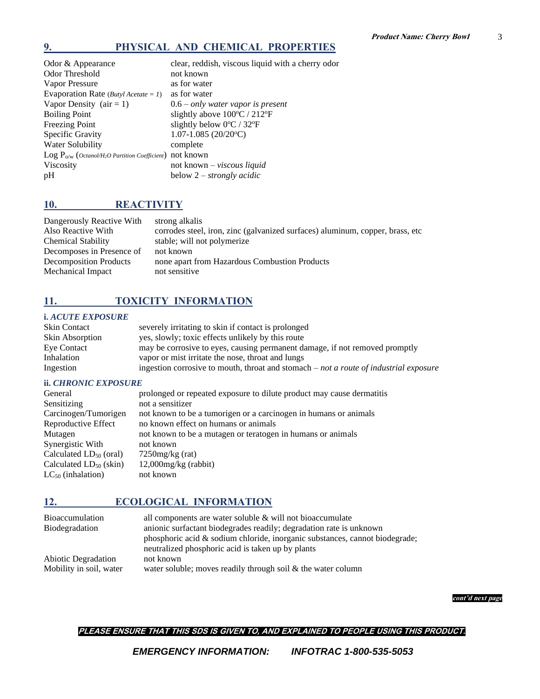## **9. PHYSICAL AND CHEMICAL PROPERTIES**

| Odor & Appearance                                                        | clear, reddish, viscous liquid with a cherry odor |
|--------------------------------------------------------------------------|---------------------------------------------------|
| Odor Threshold                                                           | not known                                         |
| Vapor Pressure                                                           | as for water                                      |
| Evaporation Rate ( <i>Butyl Acetate = 1</i> )                            | as for water                                      |
| Vapor Density $(air = 1)$                                                | $0.6$ – only water vapor is present               |
| <b>Boiling Point</b>                                                     | slightly above 100°C / 212°F                      |
| <b>Freezing Point</b>                                                    | slightly below $0^{\circ}$ C / 32 $^{\circ}$ F    |
| Specific Gravity                                                         | $1.07 - 1.085$ (20/20 <sup>o</sup> C)             |
| Water Solubility                                                         | complete                                          |
| Log $P_{o/w}$ (Octanol/H <sub>2</sub> O Partition Coefficient) not known |                                                   |
| Viscosity                                                                | not known - viscous liquid                        |
| pH                                                                       | below $2$ – strongly acidic                       |

# **10. REACTIVITY**

| Dangerously Reactive With     | strong alkalis                                                                |
|-------------------------------|-------------------------------------------------------------------------------|
| Also Reactive With            | corrodes steel, iron, zinc (galvanized surfaces) aluminum, copper, brass, etc |
| <b>Chemical Stability</b>     | stable; will not polymerize                                                   |
| Decomposes in Presence of     | not known                                                                     |
| <b>Decomposition Products</b> | none apart from Hazardous Combustion Products                                 |
| Mechanical Impact             | not sensitive                                                                 |

# **11. TOXICITY INFORMATION**

### **i.** *ACUTE EXPOSURE*

| <b>Skin Contact</b> | severely irritating to skin if contact is prolonged                                     |
|---------------------|-----------------------------------------------------------------------------------------|
| Skin Absorption     | yes, slowly; toxic effects unlikely by this route                                       |
| Eye Contact         | may be corrosive to eyes, causing permanent damage, if not removed promptly             |
| Inhalation          | vapor or mist irritate the nose, throat and lungs                                       |
| Ingestion           | ingestion corrosive to mouth, throat and stomach $-$ not a route of industrial exposure |

#### **ii.** *CHRONIC EXPOSURE*

| General                     | prolonged or repeated exposure to dilute product may cause dermatitis |
|-----------------------------|-----------------------------------------------------------------------|
| Sensitizing                 | not a sensitizer                                                      |
| Carcinogen/Tumorigen        | not known to be a tumorigen or a carcinogen in humans or animals      |
| Reproductive Effect         | no known effect on humans or animals                                  |
| Mutagen                     | not known to be a mutagen or teratogen in humans or animals           |
| Synergistic With            | not known                                                             |
| Calculated $LD_{50}$ (oral) | $7250$ mg/kg (rat)                                                    |
| Calculated $LD_{50}$ (skin) | $12,000$ mg/kg (rabbit)                                               |
| $LC_{50}$ (inhalation)      | not known                                                             |
|                             |                                                                       |

## **12. ECOLOGICAL INFORMATION**

| <b>Bioaccumulation</b>  | all components are water soluble $\&$ will not bioaccumulate                |
|-------------------------|-----------------------------------------------------------------------------|
| Biodegradation          | anionic surfactant biodegrades readily; degradation rate is unknown         |
|                         | phosphoric acid & sodium chloride, inorganic substances, cannot biodegrade; |
|                         | neutralized phosphoric acid is taken up by plants                           |
| Abiotic Degradation     | not known                                                                   |
| Mobility in soil, water | water soluble; moves readily through soil $\&$ the water column             |

**cont'd next page**